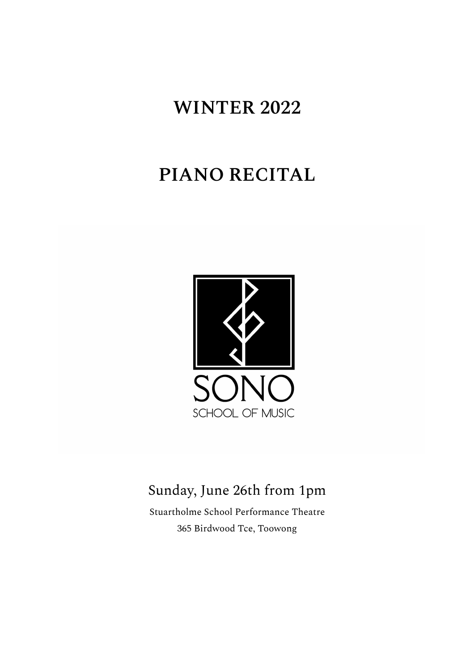# **WINTER 2022**

# **PIANO RECITAL**



# Sunday, June 26th from 1pm

Stuartholme School Performance Theatre 365 Birdwood Tce, Toowong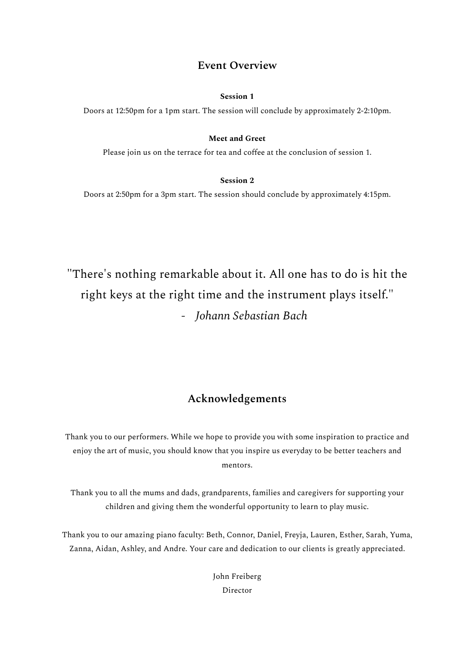#### **Event Overview**

#### **Session 1**

Doors at 12:50pm for a 1pm start. The session will conclude by approximately 2-2:10pm.

#### **Meet and Greet**

Please join us on the terrace for tea and coffee at the conclusion of session 1.

#### **Session 2**

Doors at 2:50pm for a 3pm start. The session should conclude by approximately 4:15pm.

"There's nothing remarkable about it. All one has to do is hit the right keys at the right time and the instrument plays itself." *- Johann Sebastian Bach*

### **Acknowledgements**

Thank you to our performers. While we hope to provide you with some inspiration to practice and enjoy the art of music, you should know that you inspire us everyday to be better teachers and mentors.

Thank you to all the mums and dads, grandparents, families and caregivers for supporting your children and giving them the wonderful opportunity to learn to play music.

Thank you to our amazing piano faculty: Beth, Connor, Daniel, Freyja, Lauren, Esther, Sarah, Yuma, Zanna, Aidan, Ashley, and Andre. Your care and dedication to our clients is greatly appreciated.

> John Freiberg Director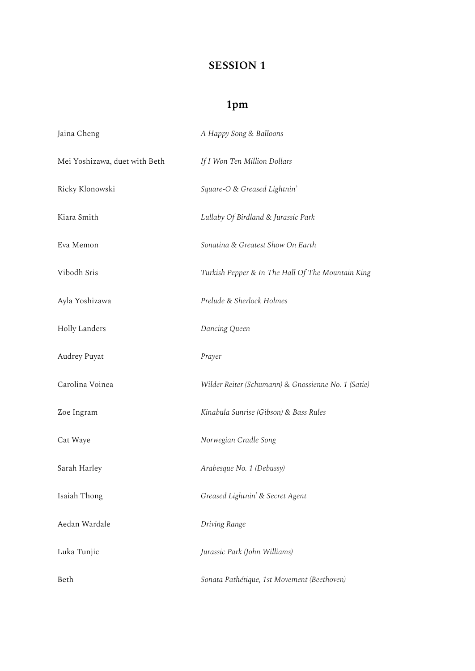### **SESSION 1**

## **1pm**

| Jaina Cheng                   | A Happy Song & Balloons                             |
|-------------------------------|-----------------------------------------------------|
| Mei Yoshizawa, duet with Beth | If I Won Ten Million Dollars                        |
| Ricky Klonowski               | Square-O & Greased Lightnin'                        |
| Kiara Smith                   | Lullaby Of Birdland & Jurassic Park                 |
| Eva Memon                     | Sonatina & Greatest Show On Earth                   |
| Vibodh Sris                   | Turkish Pepper & In The Hall Of The Mountain King   |
| Ayla Yoshizawa                | Prelude & Sherlock Holmes                           |
| <b>Holly Landers</b>          | Dancing Queen                                       |
| Audrey Puyat                  | Prayer                                              |
| Carolina Voinea               | Wilder Reiter (Schumann) & Gnossienne No. 1 (Satie) |
| Zoe Ingram                    | Kinabula Sunrise (Gibson) & Bass Rules              |
| Cat Waye                      | Norwegian Cradle Song                               |
| Sarah Harley                  | Arabesque No. 1 (Debussy)                           |
| Isaiah Thong                  | Greased Lightnin' & Secret Agent                    |
| Aedan Wardale                 | Driving Range                                       |
| Luka Tunjic                   | Jurassic Park (John Williams)                       |
| Beth                          | Sonata Pathétique, 1st Movement (Beethoven)         |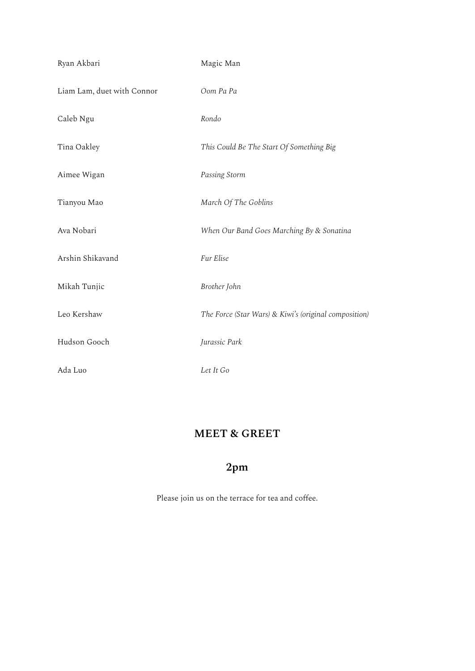| Ryan Akbari                | Magic Man                                             |
|----------------------------|-------------------------------------------------------|
| Liam Lam, duet with Connor | Oom Pa Pa                                             |
| Caleb Ngu                  | Rondo                                                 |
| Tina Oakley                | This Could Be The Start Of Something Big              |
| Aimee Wigan                | Passing Storm                                         |
| Tianyou Mao                | March Of The Goblins                                  |
| Ava Nobari                 | When Our Band Goes Marching By & Sonatina             |
| Arshin Shikavand           | Fur Elise                                             |
| Mikah Tunjic               | Brother John                                          |
| Leo Kershaw                | The Force (Star Wars) & Kiwi's (original composition) |
| Hudson Gooch               | Jurassic Park                                         |
| Ada Luo                    | Let It Go                                             |

## **MEET & GREET**

## **2pm**

Please join us on the terrace for tea and coffee.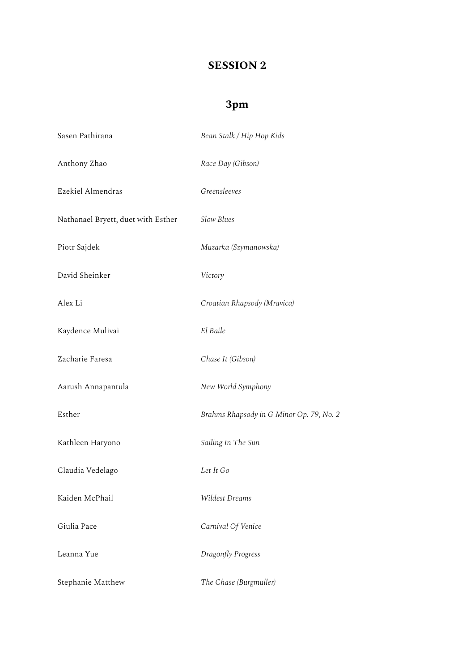### **SESSION 2**

## **3pm**

| Sasen Pathirana                    | Bean Stalk / Hip Hop Kids                |
|------------------------------------|------------------------------------------|
| Anthony Zhao                       | Race Day (Gibson)                        |
| Ezekiel Almendras                  | Greensleeves                             |
| Nathanael Bryett, duet with Esther | Slow Blues                               |
| Piotr Sajdek                       | Muzarka (Szymanowska)                    |
| David Sheinker                     | Victory                                  |
| Alex Li                            | Croatian Rhapsody (Mravica)              |
| Kaydence Mulivai                   | El Baile                                 |
| Zacharie Faresa                    | Chase It (Gibson)                        |
| Aarush Annapantula                 | New World Symphony                       |
| Esther                             | Brahms Rhapsody in G Minor Op. 79, No. 2 |
| Kathleen Haryono                   | Sailing In The Sun                       |
| Claudia Vedelago                   | Let It Go                                |
| Kaiden McPhail                     | Wildest Dreams                           |
| Giulia Pace                        | Carnival Of Venice                       |
| Leanna Yue                         | Dragonfly Progress                       |
| Stephanie Matthew                  | The Chase (Burgmuller)                   |